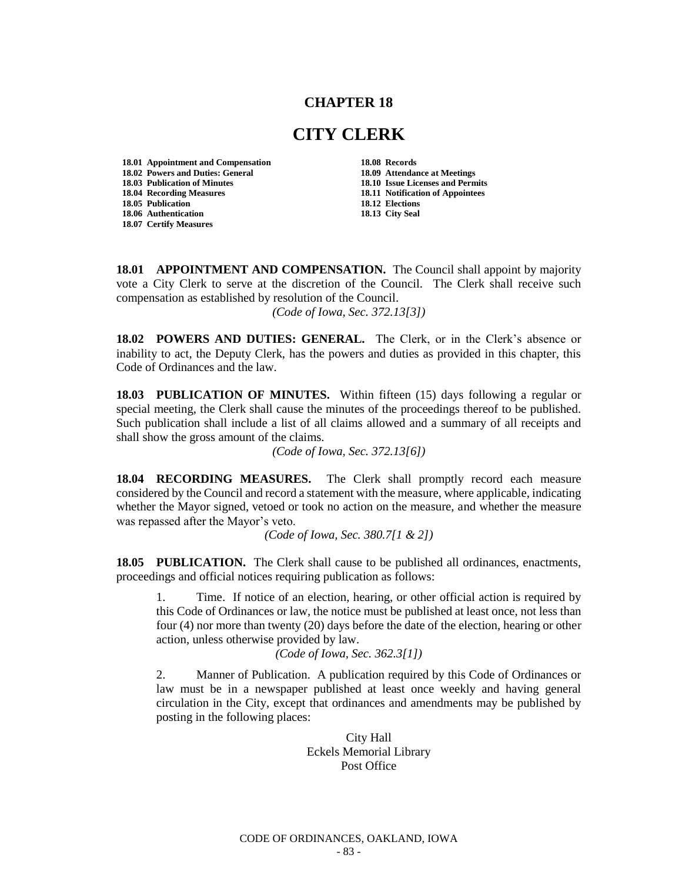## **CHAPTER 18**

## **CITY CLERK**

**18.01 Appointment and Compensation 18.08 Records 18.02 Powers and Duties: General 18.09 Attendance at Meetings 18.04 Recording Measures 18.11 Notification of Appointees 18.05 Publication 18.06 Authentication 18.13 City Seal 18.07 Certify Measures**

**18.10 Issue Licenses and Permits** 

**18.01 APPOINTMENT AND COMPENSATION.** The Council shall appoint by majority vote a City Clerk to serve at the discretion of the Council. The Clerk shall receive such compensation as established by resolution of the Council.

*(Code of Iowa, Sec. 372.13[3])*

**18.02 POWERS AND DUTIES: GENERAL.** The Clerk, or in the Clerk's absence or inability to act, the Deputy Clerk, has the powers and duties as provided in this chapter, this Code of Ordinances and the law.

**18.03 PUBLICATION OF MINUTES.** Within fifteen (15) days following a regular or special meeting, the Clerk shall cause the minutes of the proceedings thereof to be published. Such publication shall include a list of all claims allowed and a summary of all receipts and shall show the gross amount of the claims.

*(Code of Iowa, Sec. 372.13[6])*

**18.04 RECORDING MEASURES.** The Clerk shall promptly record each measure considered by the Council and record a statement with the measure, where applicable, indicating whether the Mayor signed, vetoed or took no action on the measure, and whether the measure was repassed after the Mayor's veto.

*(Code of Iowa, Sec. 380.7[1 & 2])*

**18.05 PUBLICATION.** The Clerk shall cause to be published all ordinances, enactments, proceedings and official notices requiring publication as follows:

1. Time. If notice of an election, hearing, or other official action is required by this Code of Ordinances or law, the notice must be published at least once, not less than four (4) nor more than twenty (20) days before the date of the election, hearing or other action, unless otherwise provided by law.

*(Code of Iowa, Sec. 362.3[1])*

2. Manner of Publication. A publication required by this Code of Ordinances or law must be in a newspaper published at least once weekly and having general circulation in the City, except that ordinances and amendments may be published by posting in the following places:

> City Hall Eckels Memorial Library Post Office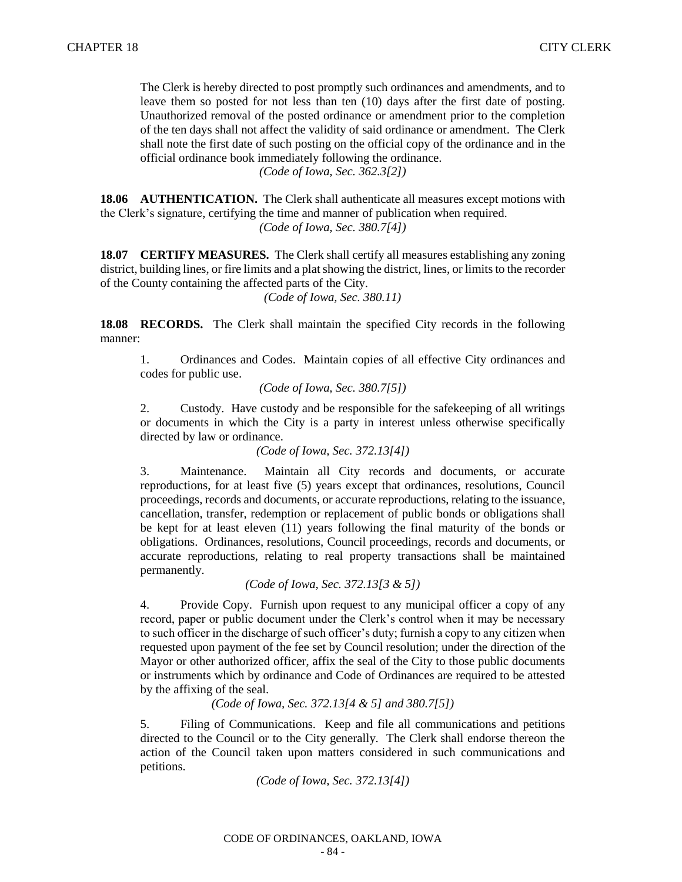The Clerk is hereby directed to post promptly such ordinances and amendments, and to leave them so posted for not less than ten (10) days after the first date of posting. Unauthorized removal of the posted ordinance or amendment prior to the completion of the ten days shall not affect the validity of said ordinance or amendment. The Clerk shall note the first date of such posting on the official copy of the ordinance and in the official ordinance book immediately following the ordinance.

*(Code of Iowa, Sec. 362.3[2])*

**18.06 AUTHENTICATION.** The Clerk shall authenticate all measures except motions with the Clerk's signature, certifying the time and manner of publication when required. *(Code of Iowa, Sec. 380.7[4])*

**18.07 CERTIFY MEASURES.** The Clerk shall certify all measures establishing any zoning district, building lines, or fire limits and a plat showing the district, lines, or limits to the recorder of the County containing the affected parts of the City.

*(Code of Iowa, Sec. 380.11)*

**18.08 RECORDS.** The Clerk shall maintain the specified City records in the following manner:

1. Ordinances and Codes. Maintain copies of all effective City ordinances and codes for public use.

*(Code of Iowa, Sec. 380.7[5])*

2. Custody. Have custody and be responsible for the safekeeping of all writings or documents in which the City is a party in interest unless otherwise specifically directed by law or ordinance.

*(Code of Iowa, Sec. 372.13[4])*

3. Maintenance. Maintain all City records and documents, or accurate reproductions, for at least five (5) years except that ordinances, resolutions, Council proceedings, records and documents, or accurate reproductions, relating to the issuance, cancellation, transfer, redemption or replacement of public bonds or obligations shall be kept for at least eleven (11) years following the final maturity of the bonds or obligations. Ordinances, resolutions, Council proceedings, records and documents, or accurate reproductions, relating to real property transactions shall be maintained permanently.

*(Code of Iowa, Sec. 372.13[3 & 5])*

4. Provide Copy. Furnish upon request to any municipal officer a copy of any record, paper or public document under the Clerk's control when it may be necessary to such officer in the discharge of such officer's duty; furnish a copy to any citizen when requested upon payment of the fee set by Council resolution; under the direction of the Mayor or other authorized officer, affix the seal of the City to those public documents or instruments which by ordinance and Code of Ordinances are required to be attested by the affixing of the seal.

*(Code of Iowa, Sec. 372.13[4 & 5] and 380.7[5])*

5. Filing of Communications. Keep and file all communications and petitions directed to the Council or to the City generally. The Clerk shall endorse thereon the action of the Council taken upon matters considered in such communications and petitions.

*(Code of Iowa, Sec. 372.13[4])*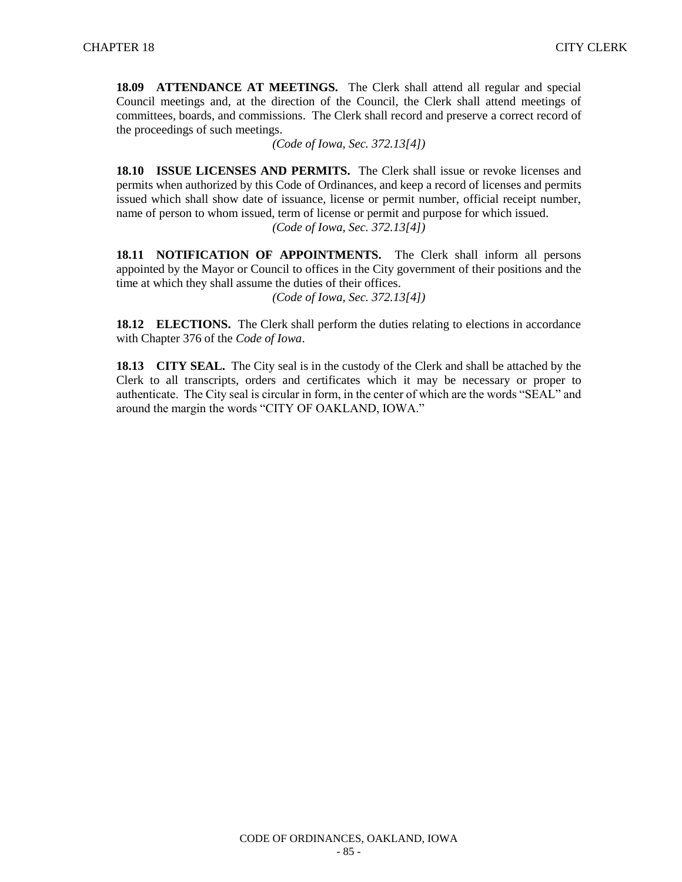**18.09 ATTENDANCE AT MEETINGS.** The Clerk shall attend all regular and special Council meetings and, at the direction of the Council, the Clerk shall attend meetings of committees, boards, and commissions. The Clerk shall record and preserve a correct record of the proceedings of such meetings.

*(Code of Iowa, Sec. 372.13[4])*

**18.10 ISSUE LICENSES AND PERMITS.** The Clerk shall issue or revoke licenses and permits when authorized by this Code of Ordinances, and keep a record of licenses and permits issued which shall show date of issuance, license or permit number, official receipt number, name of person to whom issued, term of license or permit and purpose for which issued. *(Code of Iowa, Sec. 372.13[4])*

**18.11 NOTIFICATION OF APPOINTMENTS.** The Clerk shall inform all persons appointed by the Mayor or Council to offices in the City government of their positions and the time at which they shall assume the duties of their offices.

*(Code of Iowa, Sec. 372.13[4])*

**18.12 ELECTIONS.** The Clerk shall perform the duties relating to elections in accordance with Chapter 376 of the *Code of Iowa*.

**18.13 CITY SEAL.** The City seal is in the custody of the Clerk and shall be attached by the Clerk to all transcripts, orders and certificates which it may be necessary or proper to authenticate. The City seal is circular in form, in the center of which are the words "SEAL" and around the margin the words "CITY OF OAKLAND, IOWA."